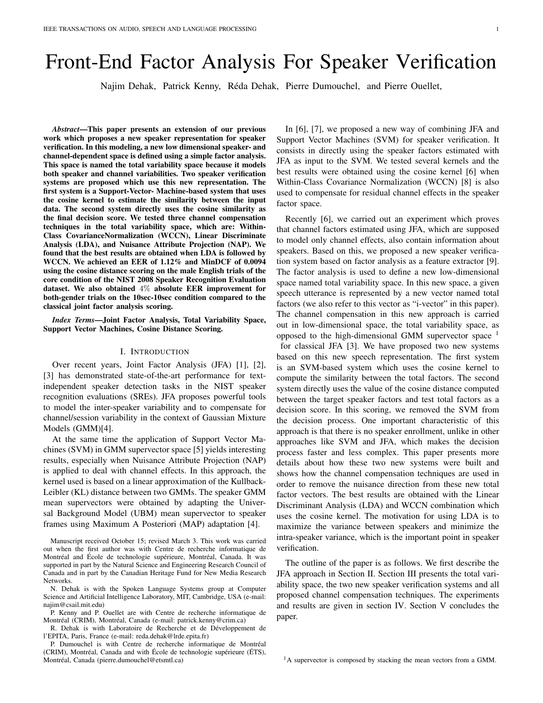# Front-End Factor Analysis For Speaker Verification

Najim Dehak, Patrick Kenny, Reda Dehak, Pierre Dumouchel, and Pierre Ouellet, ´

*Abstract*—This paper presents an extension of our previous work which proposes a new speaker representation for speaker verification. In this modeling, a new low dimensional speaker- and channel-dependent space is defined using a simple factor analysis. This space is named the total variability space because it models both speaker and channel variabilities. Two speaker verification systems are proposed which use this new representation. The first system is a Support-Vector- Machine-based system that uses the cosine kernel to estimate the similarity between the input data. The second system directly uses the cosine similarity as the final decision score. We tested three channel compensation techniques in the total variability space, which are: Within-Class CovarianceNormalization (WCCN), Linear Discriminate Analysis (LDA), and Nuisance Attribute Projection (NAP). We found that the best results are obtained when LDA is followed by WCCN. We achieved an EER of 1.12% and MinDCF of 0.0094 using the cosine distance scoring on the male English trials of the core condition of the NIST 2008 Speaker Recognition Evaluation dataset. We also obtained 4% absolute EER improvement for both-gender trials on the 10sec-10sec condition compared to the classical joint factor analysis scoring.

*Index Terms*—Joint Factor Analysis, Total Variability Space, Support Vector Machines, Cosine Distance Scoring.

## I. INTRODUCTION

Over recent years, Joint Factor Analysis (JFA) [1], [2], [3] has demonstrated state-of-the-art performance for textindependent speaker detection tasks in the NIST speaker recognition evaluations (SREs). JFA proposes powerful tools to model the inter-speaker variability and to compensate for channel/session variability in the context of Gaussian Mixture Models (GMM)[4].

At the same time the application of Support Vector Machines (SVM) in GMM supervector space [5] yields interesting results, especially when Nuisance Attribute Projection (NAP) is applied to deal with channel effects. In this approach, the kernel used is based on a linear approximation of the Kullback-Leibler (KL) distance between two GMMs. The speaker GMM mean supervectors were obtained by adapting the Universal Background Model (UBM) mean supervector to speaker frames using Maximum A Posteriori (MAP) adaptation [4].

Manuscript received October 15; revised March 3. This work was carried out when the first author was with Centre de recherche informatique de Montréal and École de technologie supérieure, Montréal, Canada. It was supported in part by the Natural Science and Engineering Research Council of Canada and in part by the Canadian Heritage Fund for New Media Research Networks.

N. Dehak is with the Spoken Language Systems group at Computer Science and Artificial Intelligence Laboratory, MIT, Cambridge, USA (e-mail: najim@csail.mit.edu)

P. Kenny and P. Ouellet are with Centre de recherche informatique de Montréal (CRIM), Montréal, Canada (e-mail: patrick.kenny@crim.ca)

R. Dehak is with Laboratoire de Recherche et de Développement de l'EPITA, Paris, France (e-mail: reda.dehak@lrde.epita.fr)

P. Dumouchel is with Centre de recherche informatique de Montréal (CRIM), Montréal, Canada and with École de technologie supérieure (ETS), Montréal, Canada (pierre.dumouchel@etsmtl.ca)

In [6], [7], we proposed a new way of combining JFA and Support Vector Machines (SVM) for speaker verification. It consists in directly using the speaker factors estimated with JFA as input to the SVM. We tested several kernels and the best results were obtained using the cosine kernel [6] when Within-Class Covariance Normalization (WCCN) [8] is also used to compensate for residual channel effects in the speaker factor space.

Recently [6], we carried out an experiment which proves that channel factors estimated using JFA, which are supposed to model only channel effects, also contain information about speakers. Based on this, we proposed a new speaker verification system based on factor analysis as a feature extractor [9]. The factor analysis is used to define a new low-dimensional space named total variability space. In this new space, a given speech utterance is represented by a new vector named total factors (we also refer to this vector as "i-vector" in this paper). The channel compensation in this new approach is carried out in low-dimensional space, the total variability space, as opposed to the high-dimensional GMM supervector space  $<sup>1</sup>$ </sup> for classical JFA [3]. We have proposed two new systems based on this new speech representation. The first system is an SVM-based system which uses the cosine kernel to compute the similarity between the total factors. The second system directly uses the value of the cosine distance computed between the target speaker factors and test total factors as a decision score. In this scoring, we removed the SVM from the decision process. One important characteristic of this approach is that there is no speaker enrollment, unlike in other approaches like SVM and JFA, which makes the decision process faster and less complex. This paper presents more details about how these two new systems were built and shows how the channel compensation techniques are used in order to remove the nuisance direction from these new total factor vectors. The best results are obtained with the Linear Discriminant Analysis (LDA) and WCCN combination which uses the cosine kernel. The motivation for using LDA is to maximize the variance between speakers and minimize the intra-speaker variance, which is the important point in speaker verification.

The outline of the paper is as follows. We first describe the JFA approach in Section II. Section III presents the total variability space, the two new speaker verification systems and all proposed channel compensation techniques. The experiments and results are given in section IV. Section V concludes the paper.

<sup>1</sup>A supervector is composed by stacking the mean vectors from a GMM.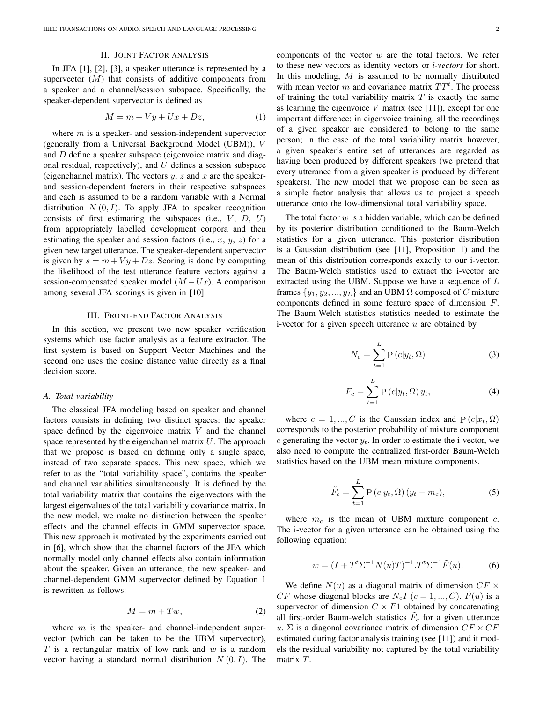# II. JOINT FACTOR ANALYSIS

In JFA [1], [2], [3], a speaker utterance is represented by a supervector  $(M)$  that consists of additive components from a speaker and a channel/session subspace. Specifically, the speaker-dependent supervector is defined as

$$
M = m + Vy + Ux + Dz, \tag{1}
$$

where  $m$  is a speaker- and session-independent supervector (generally from a Universal Background Model (UBM)), V and D define a speaker subspace (eigenvoice matrix and diagonal residual, respectively), and  $U$  defines a session subspace (eigenchannel matrix). The vectors  $y$ ,  $z$  and  $x$  are the speakerand session-dependent factors in their respective subspaces and each is assumed to be a random variable with a Normal distribution  $N(0, I)$ . To apply JFA to speaker recognition consists of first estimating the subspaces (i.e.,  $V$ ,  $D$ ,  $U$ ) from appropriately labelled development corpora and then estimating the speaker and session factors (i.e.,  $x, y, z$ ) for a given new target utterance. The speaker-dependent supervector is given by  $s = m + Vy + Dz$ . Scoring is done by computing the likelihood of the test utterance feature vectors against a session-compensated speaker model  $(M - Ux)$ . A comparison among several JFA scorings is given in [10].

## III. FRONT-END FACTOR ANALYSIS

In this section, we present two new speaker verification systems which use factor analysis as a feature extractor. The first system is based on Support Vector Machines and the second one uses the cosine distance value directly as a final decision score.

# *A. Total variability*

The classical JFA modeling based on speaker and channel factors consists in defining two distinct spaces: the speaker space defined by the eigenvoice matrix  $V$  and the channel space represented by the eigenchannel matrix  $U$ . The approach that we propose is based on defining only a single space, instead of two separate spaces. This new space, which we refer to as the "total variability space", contains the speaker and channel variabilities simultaneously. It is defined by the total variability matrix that contains the eigenvectors with the largest eigenvalues of the total variability covariance matrix. In the new model, we make no distinction between the speaker effects and the channel effects in GMM supervector space. This new approach is motivated by the experiments carried out in [6], which show that the channel factors of the JFA which normally model only channel effects also contain information about the speaker. Given an utterance, the new speaker- and channel-dependent GMM supervector defined by Equation 1 is rewritten as follows:

$$
M = m + Tw,\tag{2}
$$

where  $m$  is the speaker- and channel-independent supervector (which can be taken to be the UBM supervector),  $T$  is a rectangular matrix of low rank and  $w$  is a random vector having a standard normal distribution  $N(0, I)$ . The

components of the vector  $w$  are the total factors. We refer to these new vectors as identity vectors or *i-vectors* for short. In this modeling,  $M$  is assumed to be normally distributed with mean vector m and covariance matrix  $TT<sup>t</sup>$ . The process of training the total variability matrix  $T$  is exactly the same as learning the eigenvoice  $V$  matrix (see [11]), except for one important difference: in eigenvoice training, all the recordings of a given speaker are considered to belong to the same person; in the case of the total variability matrix however, a given speaker's entire set of utterances are regarded as having been produced by different speakers (we pretend that every utterance from a given speaker is produced by different speakers). The new model that we propose can be seen as a simple factor analysis that allows us to project a speech utterance onto the low-dimensional total variability space.

The total factor  $w$  is a hidden variable, which can be defined by its posterior distribution conditioned to the Baum-Welch statistics for a given utterance. This posterior distribution is a Gaussian distribution (see [11], Proposition 1) and the mean of this distribution corresponds exactly to our i-vector. The Baum-Welch statistics used to extract the i-vector are extracted using the UBM. Suppose we have a sequence of L frames  $\{y_1, y_2, ..., y_L\}$  and an UBM  $\Omega$  composed of C mixture components defined in some feature space of dimension F. The Baum-Welch statistics statistics needed to estimate the i-vector for a given speech utterance  $u$  are obtained by

$$
N_c = \sum_{t=1}^{L} P(c|y_t, \Omega)
$$
 (3)

$$
F_c = \sum_{t=1}^{L} \mathcal{P}\left(c|y_t, \Omega\right) y_t,\tag{4}
$$

where  $c = 1, ..., C$  is the Gaussian index and  $P(c|x_t, \Omega)$ corresponds to the posterior probability of mixture component  $c$  generating the vector  $y_t$ . In order to estimate the i-vector, we also need to compute the centralized first-order Baum-Welch statistics based on the UBM mean mixture components.

$$
\tilde{F}_c = \sum_{t=1}^{L} \mathcal{P}\left(c|y_t, \Omega\right)(y_t - m_c),\tag{5}
$$

where  $m_c$  is the mean of UBM mixture component c. The i-vector for a given utterance can be obtained using the following equation:

$$
w = (I + Tt \Sigma^{-1} N(u)T)^{-1} \cdot Tt \Sigma^{-1} \tilde{F}(u).
$$
 (6)

We define  $N(u)$  as a diagonal matrix of dimension  $CF \times$  $CF$  whose diagonal blocks are  $N_cI$   $(c = 1, ..., C)$ .  $F(u)$  is a supervector of dimension  $C \times F1$  obtained by concatenating all first-order Baum-welch statistics  $\tilde{F}_c$  for a given utterance u.  $\Sigma$  is a diagonal covariance matrix of dimension  $CF \times CF$ estimated during factor analysis training (see [11]) and it models the residual variability not captured by the total variability matrix T.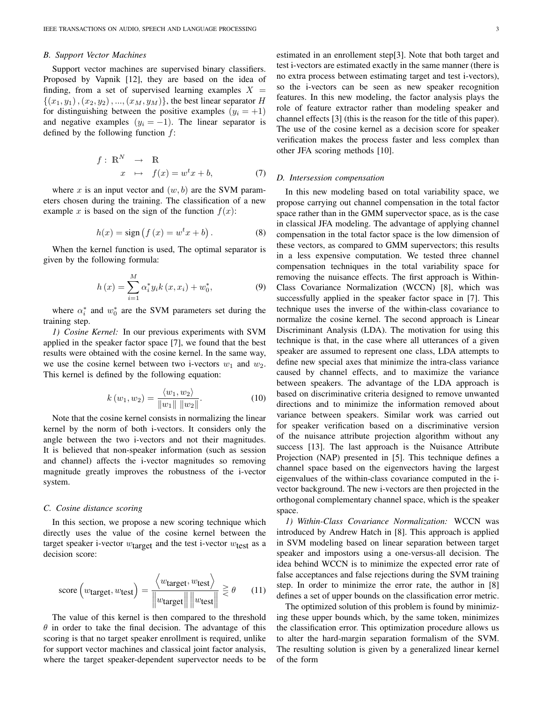## *B. Support Vector Machines*

Support vector machines are supervised binary classifiers. Proposed by Vapnik [12], they are based on the idea of finding, from a set of supervised learning examples  $X =$  $\{(x_1, y_1), (x_2, y_2), ..., (x_M, y_M)\}\$ , the best linear separator H for distinguishing between the positive examples  $(y_i = +1)$ and negative examples  $(y_i = -1)$ . The linear separator is defined by the following function  $f$ :

$$
f: \mathbb{R}^N \to \mathbb{R}
$$
  

$$
x \mapsto f(x) = w^t x + b,
$$
 (7)

where x is an input vector and  $(w, b)$  are the SVM parameters chosen during the training. The classification of a new example x is based on the sign of the function  $f(x)$ :

$$
h(x) = sign\left(f\left(x\right) = w^t x + b\right). \tag{8}
$$

When the kernel function is used, The optimal separator is given by the following formula:

$$
h(x) = \sum_{i=1}^{M} \alpha_i^* y_i k(x, x_i) + w_0^*,
$$
 (9)

where  $\alpha_i^*$  and  $w_0^*$  are the SVM parameters set during the training step.

*1) Cosine Kernel:* In our previous experiments with SVM applied in the speaker factor space [7], we found that the best results were obtained with the cosine kernel. In the same way, we use the cosine kernel between two i-vectors  $w_1$  and  $w_2$ . This kernel is defined by the following equation:

$$
k(w_1, w_2) = \frac{\langle w_1, w_2 \rangle}{\|w_1\| \|w_2\|}.
$$
 (10)

Note that the cosine kernel consists in normalizing the linear kernel by the norm of both i-vectors. It considers only the angle between the two i-vectors and not their magnitudes. It is believed that non-speaker information (such as session and channel) affects the i-vector magnitudes so removing magnitude greatly improves the robustness of the i-vector system.

#### *C. Cosine distance scoring*

In this section, we propose a new scoring technique which directly uses the value of the cosine kernel between the target speaker i-vector  $w_{\text{target}}$  and the test i-vector  $w_{\text{test}}$  as a decision score:

score
$$
(w_{\text{target}}, w_{\text{test}})
$$
 =  $\frac{\langle w_{\text{target}}, w_{\text{test}} \rangle}{\|w_{\text{target}}\| \|w_{\text{test}}\|} \ge \theta$  (11)

The value of this kernel is then compared to the threshold  $\theta$  in order to take the final decision. The advantage of this scoring is that no target speaker enrollment is required, unlike for support vector machines and classical joint factor analysis, where the target speaker-dependent supervector needs to be

estimated in an enrollement step[3]. Note that both target and test i-vectors are estimated exactly in the same manner (there is no extra process between estimating target and test i-vectors), so the i-vectors can be seen as new speaker recognition features. In this new modeling, the factor analysis plays the role of feature extractor rather than modeling speaker and channel effects [3] (this is the reason for the title of this paper). The use of the cosine kernel as a decision score for speaker verification makes the process faster and less complex than other JFA scoring methods [10].

#### *D. Intersession compensation*

In this new modeling based on total variability space, we propose carrying out channel compensation in the total factor space rather than in the GMM supervector space, as is the case in classical JFA modeling. The advantage of applying channel compensation in the total factor space is the low dimension of these vectors, as compared to GMM supervectors; this results in a less expensive computation. We tested three channel compensation techniques in the total variability space for removing the nuisance effects. The first approach is Within-Class Covariance Normalization (WCCN) [8], which was successfully applied in the speaker factor space in [7]. This technique uses the inverse of the within-class covariance to normalize the cosine kernel. The second approach is Linear Discriminant Analysis (LDA). The motivation for using this technique is that, in the case where all utterances of a given speaker are assumed to represent one class, LDA attempts to define new special axes that minimize the intra-class variance caused by channel effects, and to maximize the variance between speakers. The advantage of the LDA approach is based on discriminative criteria designed to remove unwanted directions and to minimize the information removed about variance between speakers. Similar work was carried out for speaker verification based on a discriminative version of the nuisance attribute projection algorithm without any success [13]. The last approach is the Nuisance Attribute Projection (NAP) presented in [5]. This technique defines a channel space based on the eigenvectors having the largest eigenvalues of the within-class covariance computed in the ivector background. The new i-vectors are then projected in the orthogonal complementary channel space, which is the speaker space.

*1) Within-Class Covariance Normalization:* WCCN was introduced by Andrew Hatch in [8]. This approach is applied in SVM modeling based on linear separation between target speaker and impostors using a one-versus-all decision. The idea behind WCCN is to minimize the expected error rate of false acceptances and false rejections during the SVM training step. In order to minimize the error rate, the author in [8] defines a set of upper bounds on the classification error metric.

The optimized solution of this problem is found by minimizing these upper bounds which, by the same token, minimizes the classification error. This optimization procedure allows us to alter the hard-margin separation formalism of the SVM. The resulting solution is given by a generalized linear kernel of the form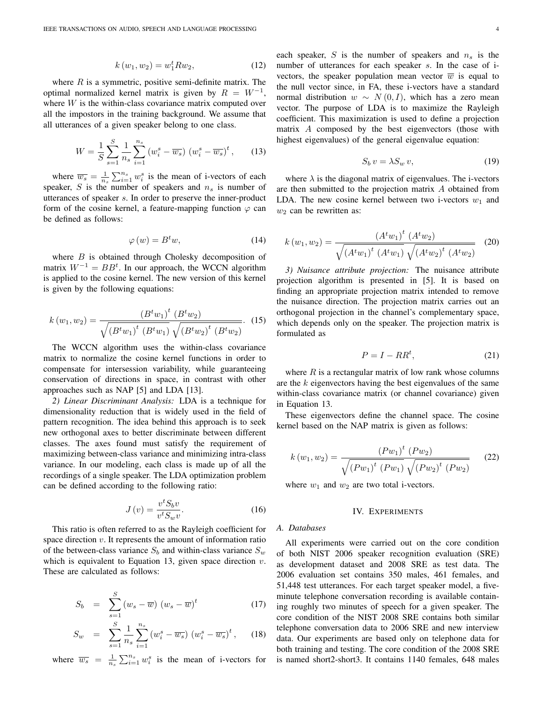$$
k(w_1, w_2) = w_1^t R w_2, \t\t(12)
$$

where  $R$  is a symmetric, positive semi-definite matrix. The optimal normalized kernel matrix is given by  $R = W^{-1}$ , where  $W$  is the within-class covariance matrix computed over all the impostors in the training background. We assume that all utterances of a given speaker belong to one class.

$$
W = \frac{1}{S} \sum_{s=1}^{S} \frac{1}{n_s} \sum_{i=1}^{n_s} (w_i^s - \overline{w_s}) (w_i^s - \overline{w_s})^t, \qquad (13)
$$

where  $\overline{w_s} = \frac{1}{n_s}$  $\sum_{i=1}^{n_s} w_i^s$  is the mean of i-vectors of each speaker, S is the number of speakers and  $n<sub>s</sub>$  is number of utterances of speaker s. In order to preserve the inner-product form of the cosine kernel, a feature-mapping function  $\varphi$  can be defined as follows:

$$
\varphi(w) = B^t w,\tag{14}
$$

where  $B$  is obtained through Cholesky decomposition of matrix  $W^{-1} = BB^t$ . In our approach, the WCCN algorithm is applied to the cosine kernel. The new version of this kernel is given by the following equations:

$$
k(w_1, w_2) = \frac{(B^t w_1)^t (B^t w_2)}{\sqrt{(B^t w_1)^t (B^t w_1)} \sqrt{(B^t w_2)^t (B^t w_2)}}.
$$
 (15)

The WCCN algorithm uses the within-class covariance matrix to normalize the cosine kernel functions in order to compensate for intersession variability, while guaranteeing conservation of directions in space, in contrast with other approaches such as NAP [5] and LDA [13].

*2) Linear Discriminant Analysis:* LDA is a technique for dimensionality reduction that is widely used in the field of pattern recognition. The idea behind this approach is to seek new orthogonal axes to better discriminate between different classes. The axes found must satisfy the requirement of maximizing between-class variance and minimizing intra-class variance. In our modeling, each class is made up of all the recordings of a single speaker. The LDA optimization problem can be defined according to the following ratio:

$$
J(v) = \frac{v^t S_b v}{v^t S_w v}.
$$
\n(16)

This ratio is often referred to as the Rayleigh coefficient for space direction  $v$ . It represents the amount of information ratio of the between-class variance  $S_b$  and within-class variance  $S_w$ which is equivalent to Equation 13, given space direction  $v$ . These are calculated as follows:

$$
S_b = \sum_{s=1}^{S} (w_s - \overline{w}) (w_s - \overline{w})^t
$$
 (17)

$$
S_w = \sum_{s=1}^{S} \frac{1}{n_s} \sum_{i=1}^{n_s} (w_i^s - \overline{w_s}) (w_i^s - \overline{w_s})^t, \quad (18)
$$

where  $\overline{w_s} = \frac{1}{n_s}$  $\sum_{i=1}^{n_s} w_i^s$  is the mean of i-vectors for each speaker,  $S$  is the number of speakers and  $n<sub>s</sub>$  is the number of utterances for each speaker s. In the case of ivectors, the speaker population mean vector  $\overline{w}$  is equal to the null vector since, in FA, these i-vectors have a standard normal distribution  $w \sim N(0, I)$ , which has a zero mean vector. The purpose of LDA is to maximize the Rayleigh coefficient. This maximization is used to define a projection matrix A composed by the best eigenvectors (those with highest eigenvalues) of the general eigenvalue equation:

$$
S_b v = \lambda S_w v,\tag{19}
$$

where  $\lambda$  is the diagonal matrix of eigenvalues. The i-vectors are then submitted to the projection matrix A obtained from LDA. The new cosine kernel between two i-vectors  $w_1$  and  $w_2$  can be rewritten as:

$$
k(w_1, w_2) = \frac{(A^t w_1)^t (A^t w_2)}{\sqrt{(A^t w_1)^t (A^t w_1)} \sqrt{(A^t w_2)^t (A^t w_2)}}
$$
(20)

*3) Nuisance attribute projection:* The nuisance attribute projection algorithm is presented in [5]. It is based on finding an appropriate projection matrix intended to remove the nuisance direction. The projection matrix carries out an orthogonal projection in the channel's complementary space, which depends only on the speaker. The projection matrix is formulated as

$$
P = I - RR^t,\tag{21}
$$

where  $R$  is a rectangular matrix of low rank whose columns are the  $k$  eigenvectors having the best eigenvalues of the same within-class covariance matrix (or channel covariance) given in Equation 13.

These eigenvectors define the channel space. The cosine kernel based on the NAP matrix is given as follows:

$$
k(w_1, w_2) = \frac{(Pw_1)^t (Pw_2)}{\sqrt{(Pw_1)^t (Pw_1)} \sqrt{(Pw_2)^t (Pw_2)}}
$$
(22)

where  $w_1$  and  $w_2$  are two total i-vectors.

## IV. EXPERIMENTS

## *A. Databases*

All experiments were carried out on the core condition of both NIST 2006 speaker recognition evaluation (SRE) as development dataset and 2008 SRE as test data. The 2006 evaluation set contains 350 males, 461 females, and 51,448 test utterances. For each target speaker model, a fiveminute telephone conversation recording is available containing roughly two minutes of speech for a given speaker. The core condition of the NIST 2008 SRE contains both similar telephone conversation data to 2006 SRE and new interview data. Our experiments are based only on telephone data for both training and testing. The core condition of the 2008 SRE is named short2-short3. It contains 1140 females, 648 males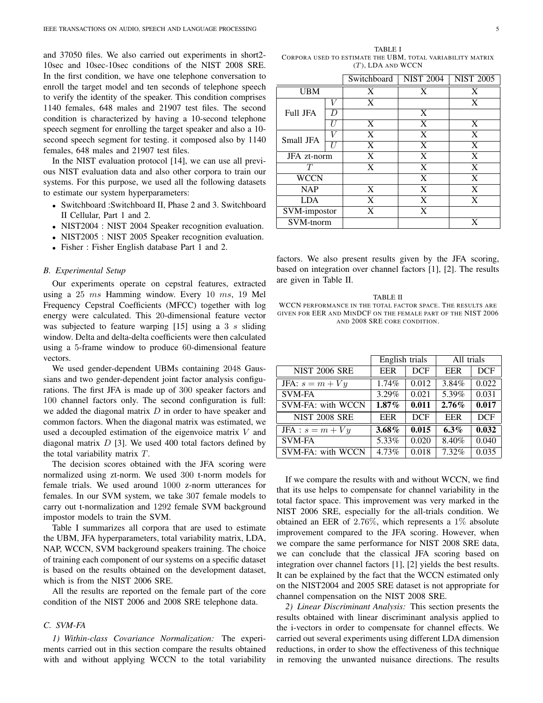and 37050 files. We also carried out experiments in short2- 10sec and 10sec-10sec conditions of the NIST 2008 SRE. In the first condition, we have one telephone conversation to enroll the target model and ten seconds of telephone speech to verify the identity of the speaker. This condition comprises 1140 females, 648 males and 21907 test files. The second condition is characterized by having a 10-second telephone speech segment for enrolling the target speaker and also a 10 second speech segment for testing. it composed also by 1140 females, 648 males and 21907 test files.

In the NIST evaluation protocol [14], we can use all previous NIST evaluation data and also other corpora to train our systems. For this purpose, we used all the following datasets to estimate our system hyperparameters:

- Switchboard :Switchboard II, Phase 2 and 3. Switchboard II Cellular, Part 1 and 2.
- NIST2004 : NIST 2004 Speaker recognition evaluation.
- NIST2005 : NIST 2005 Speaker recognition evaluation.
- Fisher : Fisher English database Part 1 and 2.

#### *B. Experimental Setup*

Our experiments operate on cepstral features, extracted using a 25 ms Hamming window. Every 10 ms, 19 Mel Frequency Cepstral Coefficients (MFCC) together with log energy were calculated. This 20-dimensional feature vector was subjected to feature warping [15] using a 3 s sliding window. Delta and delta-delta coefficients were then calculated using a 5-frame window to produce 60-dimensional feature vectors.

We used gender-dependent UBMs containing 2048 Gaussians and two gender-dependent joint factor analysis configurations. The first JFA is made up of 300 speaker factors and 100 channel factors only. The second configuration is full: we added the diagonal matrix  $D$  in order to have speaker and common factors. When the diagonal matrix was estimated, we used a decoupled estimation of the eigenvoice matrix V and diagonal matrix  $D$  [3]. We used 400 total factors defined by the total variability matrix T.

The decision scores obtained with the JFA scoring were normalized using zt-norm. We used 300 t-norm models for female trials. We used around 1000 z-norm utterances for females. In our SVM system, we take 307 female models to carry out t-normalization and 1292 female SVM background impostor models to train the SVM.

Table I summarizes all corpora that are used to estimate the UBM, JFA hyperparameters, total variability matrix, LDA, NAP, WCCN, SVM background speakers training. The choice of training each component of our systems on a specific dataset is based on the results obtained on the development dataset, which is from the NIST 2006 SRE.

All the results are reported on the female part of the core condition of the NIST 2006 and 2008 SRE telephone data.

# *C. SVM-FA*

*1) Within-class Covariance Normalization:* The experiments carried out in this section compare the results obtained with and without applying WCCN to the total variability

TABLE I CORPORA USED TO ESTIMATE THE UBM, TOTAL VARIABILITY MATRIX  $(T)$ , LDA AND WCCN

|                 |    | Switchboard | <b>NIST 2004</b> | <b>NIST 2005</b> |
|-----------------|----|-------------|------------------|------------------|
| <b>UBM</b>      |    | X           | X                | X                |
|                 | V  | X           |                  | X                |
| <b>Full JFA</b> | D  |             | X                |                  |
|                 | IJ | X           | X                | X                |
| Small JFA       | V  | X           | X                | X                |
|                 | TΙ | X           | X                | X                |
| JFA zt-norm     |    | X           | X                | X                |
| T               |    | X           | X                | X                |
| WCCN            |    |             | X                | X                |
| <b>NAP</b>      |    | X           | X                | X                |
| LDA             |    | X           | X                | X                |
| SVM-impostor    |    | X           | X                |                  |
| SVM-tnorm       |    |             |                  | X                |

factors. We also present results given by the JFA scoring, based on integration over channel factors [1], [2]. The results are given in Table II.

TABLE II WCCN PERFORMANCE IN THE TOTAL FACTOR SPACE. THE RESULTS ARE GIVEN FOR EER AND MINDCF ON THE FEMALE PART OF THE NIST 2006 AND 2008 SRE CORE CONDITION.

|                          | English trials |            | All trials |            |
|--------------------------|----------------|------------|------------|------------|
| <b>NIST 2006 SRE</b>     | <b>EER</b>     | <b>DCF</b> | <b>EER</b> | <b>DCF</b> |
| JFA: $s = m + Vy$        | 1.74%          | 0.012      | 3.84%      | 0.022      |
| <b>SVM-FA</b>            | 3.29%          | 0.021      | 5.39%      | 0.031      |
| SVM-FA: with WCCN        | $1.87\%$       | 0.011      | $2.76\%$   | 0.017      |
| <b>NIST 2008 SRE</b>     | <b>EER</b>     | <b>DCF</b> | <b>EER</b> | <b>DCF</b> |
| JFA : $s = m + Vy$       | $3.68\%$       | 0.015      | $6.3\%$    | 0.032      |
| <b>SVM-FA</b>            | 5.33%          | 0.020      | 8.40%      | 0.040      |
| <b>SVM-FA: with WCCN</b> | 4.73%          | 0.018      | 7.32%      | 0.035      |

If we compare the results with and without WCCN, we find that its use helps to compensate for channel variability in the total factor space. This improvement was very marked in the NIST 2006 SRE, especially for the all-trials condition. We obtained an EER of 2.76%, which represents a  $1\%$  absolute improvement compared to the JFA scoring. However, when we compare the same performance for NIST 2008 SRE data, we can conclude that the classical JFA scoring based on integration over channel factors [1], [2] yields the best results. It can be explained by the fact that the WCCN estimated only on the NIST2004 and 2005 SRE dataset is not appropriate for channel compensation on the NIST 2008 SRE.

*2) Linear Discriminant Analysis:* This section presents the results obtained with linear discriminant analysis applied to the i-vectors in order to compensate for channel effects. We carried out several experiments using different LDA dimension reductions, in order to show the effectiveness of this technique in removing the unwanted nuisance directions. The results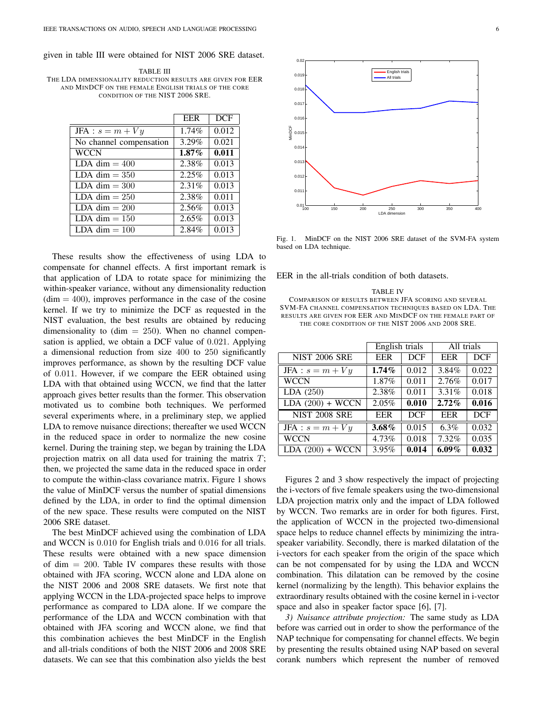given in table III were obtained for NIST 2006 SRE dataset.

TABLE III THE LDA DIMENSIONALITY REDUCTION RESULTS ARE GIVEN FOR EER AND MINDCF ON THE FEMALE ENGLISH TRIALS OF THE CORE CONDITION OF THE NIST 2006 SRE.

|                         | <b>EER</b> | <b>DCF</b> |
|-------------------------|------------|------------|
| JFA : $s = m + Vy$      | 1.74%      | 0.012      |
| No channel compensation | $3.29\%$   | 0.021      |
| <b>WCCN</b>             | $1.87\%$   | 0.011      |
| LDA dim $= 400$         | 2.38%      | 0.013      |
| LDA dim $=$ 350         | 2.25%      | 0.013      |
| LDA dim $= 300$         | 2.31%      | 0.013      |
| LDA dim $= 250$         | 2.38%      | 0.011      |
| LDA dim $= 200$         | 2.56%      | 0.013      |
| LDA dim $= 150$         | 2.65%      | 0.013      |
| LDA dim $= 100$         | 2.84%      | 0.013      |

These results show the effectiveness of using LDA to compensate for channel effects. A first important remark is that application of LDA to rotate space for minimizing the within-speaker variance, without any dimensionality reduction  $(dim = 400)$ , improves performance in the case of the cosine kernel. If we try to minimize the DCF as requested in the NIST evaluation, the best results are obtained by reducing dimensionality to (dim  $= 250$ ). When no channel compensation is applied, we obtain a DCF value of 0.021. Applying a dimensional reduction from size 400 to 250 significantly improves performance, as shown by the resulting DCF value of 0.011. However, if we compare the EER obtained using LDA with that obtained using WCCN, we find that the latter approach gives better results than the former. This observation motivated us to combine both techniques. We performed several experiments where, in a preliminary step, we applied LDA to remove nuisance directions; thereafter we used WCCN in the reduced space in order to normalize the new cosine kernel. During the training step, we began by training the LDA projection matrix on all data used for training the matrix  $T$ ; then, we projected the same data in the reduced space in order to compute the within-class covariance matrix. Figure 1 shows the value of MinDCF versus the number of spatial dimensions defined by the LDA, in order to find the optimal dimension of the new space. These results were computed on the NIST 2006 SRE dataset.

The best MinDCF achieved using the combination of LDA and WCCN is 0.010 for English trials and 0.016 for all trials. These results were obtained with a new space dimension of dim  $= 200$ . Table IV compares these results with those obtained with JFA scoring, WCCN alone and LDA alone on the NIST 2006 and 2008 SRE datasets. We first note that applying WCCN in the LDA-projected space helps to improve performance as compared to LDA alone. If we compare the performance of the LDA and WCCN combination with that obtained with JFA scoring and WCCN alone, we find that this combination achieves the best MinDCF in the English and all-trials conditions of both the NIST 2006 and 2008 SRE datasets. We can see that this combination also yields the best



Fig. 1. MinDCF on the NIST 2006 SRE dataset of the SVM-FA system based on LDA technique.

EER in the all-trials condition of both datasets.

TABLE IV COMPARISON OF RESULTS BETWEEN JFA SCORING AND SEVERAL SVM-FA CHANNEL COMPENSATION TECHNIQUES BASED ON LDA. THE RESULTS ARE GIVEN FOR EER AND MINDCF ON THE FEMALE PART OF THE CORE CONDITION OF THE NIST 2006 AND 2008 SRE.

|                      | English trials |            | All trials |                    |
|----------------------|----------------|------------|------------|--------------------|
| <b>NIST 2006 SRE</b> | <b>EER</b>     | <b>DCF</b> | <b>EER</b> | <b>DCF</b>         |
| JFA : $s = m + Vy$   | $1.74\%$       | 0.012      | 3.84%      | 0.022              |
| <b>WCCN</b>          | 1.87%          | 0.011      | 2.76%      | $\overline{0.017}$ |
| LDA(250)             | 2.38%          | 0.011      | 3.31%      | 0.018              |
| $LDA(200) + WCCN$    | 2.05%          | 0.010      | 2.72%      | 0.016              |
| <b>NIST 2008 SRE</b> | <b>EER</b>     | <b>DCF</b> | <b>EER</b> | <b>DCF</b>         |
| JFA : $s = m + Vy$   | $3.68\%$       | 0.015      | $6.3\%$    | 0.032              |
| <b>WCCN</b>          | 4.73%          | 0.018      | 7.32%      | 0.035              |
| $LDA(200) + WCCN$    | 3.95%          | 0.014      | $6.09\%$   | 0.032              |

Figures 2 and 3 show respectively the impact of projecting the i-vectors of five female speakers using the two-dimensional LDA projection matrix only and the impact of LDA followed by WCCN. Two remarks are in order for both figures. First, the application of WCCN in the projected two-dimensional space helps to reduce channel effects by minimizing the intraspeaker variability. Secondly, there is marked dilatation of the i-vectors for each speaker from the origin of the space which can be not compensated for by using the LDA and WCCN combination. This dilatation can be removed by the cosine kernel (normalizing by the length). This behavior explains the extraordinary results obtained with the cosine kernel in i-vector space and also in speaker factor space [6], [7].

*3) Nuisance attribute projection:* The same study as LDA before was carried out in order to show the performance of the NAP technique for compensating for channel effects. We begin by presenting the results obtained using NAP based on several corank numbers which represent the number of removed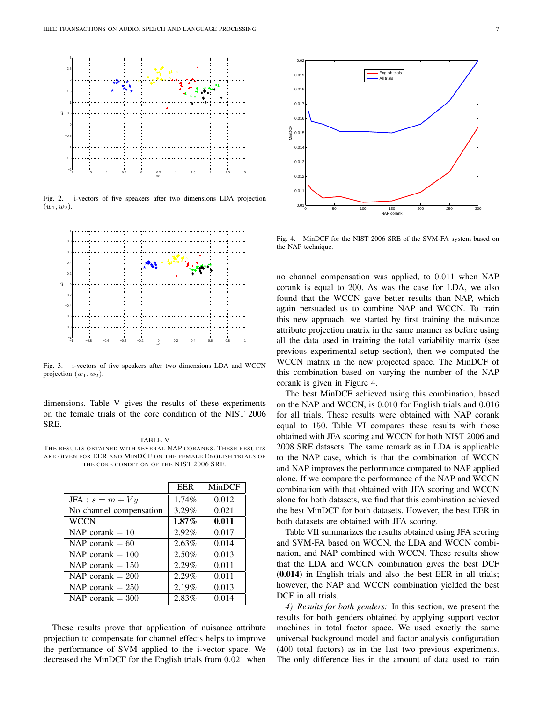

Fig. 2. i-vectors of five speakers after two dimensions LDA projection  $(w_1, w_2)$ .



Fig. 3. i-vectors of five speakers after two dimensions LDA and WCCN projection  $(w_1, w_2)$ .

dimensions. Table V gives the results of these experiments on the female trials of the core condition of the NIST 2006 SRE.

TABLE V THE RESULTS OBTAINED WITH SEVERAL NAP CORANKS. THESE RESULTS ARE GIVEN FOR EER AND MINDCF ON THE FEMALE ENGLISH TRIALS OF THE CORE CONDITION OF THE NIST 2006 SRE.

|                         | <b>EER</b> | MinDCF |
|-------------------------|------------|--------|
| JFA : $s = m + Vy$      | 1.74%      | 0.012  |
| No channel compensation | $3.29\%$   | 0.021  |
| <b>WCCN</b>             | $1.87\%$   | 0.011  |
| NAP corank $= 10$       | 2.92%      | 0.017  |
| NAP corank $= 60$       | 2.63%      | 0.014  |
| NAP corank $= 100$      | 2.50%      | 0.013  |
| NAP corank $= 150$      | 2.29%      | 0.011  |
| NAP corank $= 200$      | 2.29%      | 0.011  |
| NAP corank $= 250$      | 2.19%      | 0.013  |
| NAP corank $=$ 300      | 2.83%      | 0.014  |

These results prove that application of nuisance attribute projection to compensate for channel effects helps to improve the performance of SVM applied to the i-vector space. We decreased the MinDCF for the English trials from 0.021 when



Fig. 4. MinDCF for the NIST 2006 SRE of the SVM-FA system based on the NAP technique.

no channel compensation was applied, to 0.011 when NAP corank is equal to 200. As was the case for LDA, we also found that the WCCN gave better results than NAP, which again persuaded us to combine NAP and WCCN. To train this new approach, we started by first training the nuisance attribute projection matrix in the same manner as before using all the data used in training the total variability matrix (see previous experimental setup section), then we computed the WCCN matrix in the new projected space. The MinDCF of this combination based on varying the number of the NAP corank is given in Figure 4.

The best MinDCF achieved using this combination, based on the NAP and WCCN, is 0.010 for English trials and 0.016 for all trials. These results were obtained with NAP corank equal to 150. Table VI compares these results with those obtained with JFA scoring and WCCN for both NIST 2006 and 2008 SRE datasets. The same remark as in LDA is applicable to the NAP case, which is that the combination of WCCN and NAP improves the performance compared to NAP applied alone. If we compare the performance of the NAP and WCCN combination with that obtained with JFA scoring and WCCN alone for both datasets, we find that this combination achieved the best MinDCF for both datasets. However, the best EER in both datasets are obtained with JFA scoring.

Table VII summarizes the results obtained using JFA scoring and SVM-FA based on WCCN, the LDA and WCCN combination, and NAP combined with WCCN. These results show that the LDA and WCCN combination gives the best DCF (0.014) in English trials and also the best EER in all trials; however, the NAP and WCCN combination yielded the best DCF in all trials.

*4) Results for both genders:* In this section, we present the results for both genders obtained by applying support vector machines in total factor space. We used exactly the same universal background model and factor analysis configuration (400 total factors) as in the last two previous experiments. The only difference lies in the amount of data used to train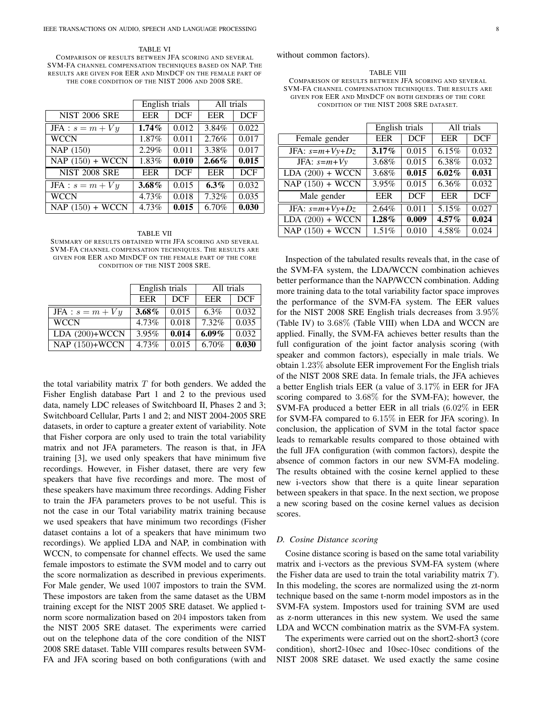#### TABLE VI

COMPARISON OF RESULTS BETWEEN JFA SCORING AND SEVERAL SVM-FA CHANNEL COMPENSATION TECHNIQUES BASED ON NAP. THE RESULTS ARE GIVEN FOR EER AND MINDCF ON THE FEMALE PART OF THE CORE CONDITION OF THE NIST 2006 AND 2008 SRE.

|                                      | English trials |            | $\overline{All}$ trials |            |
|--------------------------------------|----------------|------------|-------------------------|------------|
| <b>NIST 2006 SRE</b>                 | <b>EER</b>     | <b>DCF</b> | <b>EER</b>              | <b>DCF</b> |
| JFA : $s = m + Vy$                   | $1.74\%$       | 0.012      | 3.84%                   | 0.022      |
| <b>WCCN</b>                          | 1.87%          | 0.011      | 2.76%                   | 0.017      |
| <b>NAP</b> (150)                     | 2.29%          | 0.011      | 3.38%                   | 0.017      |
| $\overline{\text{NAP}}$ (150) + WCCN | 1.83%          | 0.010      | $2.66\%$                | 0.015      |
| <b>NIST 2008 SRE</b>                 | <b>EER</b>     | <b>DCF</b> | <b>EER</b>              | <b>DCF</b> |
| JFA : $s = m + Vy$                   | $3.68\%$       | 0.015      | $6.3\%$                 | 0.032      |
| <b>WCCN</b>                          | 4.73%          | 0.018      | 7.32%                   | 0.035      |
| NAP $(150)$ + WCCN                   | 4.73%          | 0.015      | 6.70%                   | 0.030      |

TABLE VII SUMMARY OF RESULTS OBTAINED WITH JFA SCORING AND SEVERAL SVM-FA CHANNEL COMPENSATION TECHNIQUES. THE RESULTS ARE GIVEN FOR EER AND MINDCF ON THE FEMALE PART OF THE CORE CONDITION OF THE NIST 2008 SRE.

|                    | English trials |       | All trials |       |
|--------------------|----------------|-------|------------|-------|
|                    | EER            | DCF   | <b>EER</b> | DCF.  |
| JFA : $s = m + Vy$ | $3.68\%$       | 0.015 | 6.3%       | 0.032 |
| <b>WCCN</b>        | 4.73%          | 0.018 | 7.32%      | 0.035 |
| LDA $(200)+WCCN$   | 3.95%          | 0.014 | 6.09%      | 0.032 |
| NAP $(150)+WCCN$   | 4.73%          | 0.015 | 6.70%      | 0.030 |

the total variability matrix  $T$  for both genders. We added the Fisher English database Part 1 and 2 to the previous used data, namely LDC releases of Switchboard II, Phases 2 and 3; Switchboard Cellular, Parts 1 and 2; and NIST 2004-2005 SRE datasets, in order to capture a greater extent of variability. Note that Fisher corpora are only used to train the total variability matrix and not JFA parameters. The reason is that, in JFA training [3], we used only speakers that have minimum five recordings. However, in Fisher dataset, there are very few speakers that have five recordings and more. The most of these speakers have maximum three recordings. Adding Fisher to train the JFA parameters proves to be not useful. This is not the case in our Total variability matrix training because we used speakers that have minimum two recordings (Fisher dataset contains a lot of a speakers that have minimum two recordings). We applied LDA and NAP, in combination with WCCN, to compensate for channel effects. We used the same female impostors to estimate the SVM model and to carry out the score normalization as described in previous experiments. For Male gender, We used 1007 impostors to train the SVM. These impostors are taken from the same dataset as the UBM training except for the NIST 2005 SRE dataset. We applied tnorm score normalization based on 204 impostors taken from the NIST 2005 SRE dataset. The experiments were carried out on the telephone data of the core condition of the NIST 2008 SRE dataset. Table VIII compares results between SVM-FA and JFA scoring based on both configurations (with and without common factors).

TABLE VIII COMPARISON OF RESULTS BETWEEN JFA SCORING AND SEVERAL SVM-FA CHANNEL COMPENSATION TECHNIQUES. THE RESULTS ARE GIVEN FOR EER AND MINDCF ON BOTH GENDERS OF THE CORE CONDITION OF THE NIST 2008 SRE DATASET.

|                                      | English trials |            | All trials |            |
|--------------------------------------|----------------|------------|------------|------------|
| Female gender                        | <b>EER</b>     | <b>DCF</b> | <b>EER</b> | <b>DCF</b> |
| JFA: $s=m+Vy+Dz$                     | $3.17\%$       | 0.015      | 6.15%      | 0.032      |
| JFA: $s=m+Vy$                        | 3.68%          | 0.015      | 6.38%      | 0.032      |
| $LDA(200) + WCCN$                    | 3.68%          | 0.015      | $6.02\%$   | 0.031      |
| NAP $(150)$ + WCCN                   | 3.95%          | 0.015      | 6.36%      | 0.032      |
| Male gender                          | <b>EER</b>     | DCF        | <b>EER</b> | <b>DCF</b> |
| JFA: $s=m+Vy+Dz$                     | 2.64%          | 0.011      | 5.15%      | 0.027      |
| $\overline{\text{LDA}}$ (200) + WCCN | $1.28\%$       | 0.009      | $4.57\%$   | 0.024      |
| NAP $(150)$ + WCCN                   | $1.51\%$       | 0.010      | 4.58%      | 0.024      |

Inspection of the tabulated results reveals that, in the case of the SVM-FA system, the LDA/WCCN combination achieves better performance than the NAP/WCCN combination. Adding more training data to the total variability factor space improves the performance of the SVM-FA system. The EER values for the NIST 2008 SRE English trials decreases from 3.95% (Table IV) to 3.68% (Table VIII) when LDA and WCCN are applied. Finally, the SVM-FA achieves better results than the full configuration of the joint factor analysis scoring (with speaker and common factors), especially in male trials. We obtain 1.23% absolute EER improvement For the English trials of the NIST 2008 SRE data. In female trials, the JFA achieves a better English trials EER (a value of 3.17% in EER for JFA scoring compared to 3.68% for the SVM-FA); however, the SVM-FA produced a better EER in all trials (6.02% in EER for SVM-FA compared to 6.15% in EER for JFA scoring). In conclusion, the application of SVM in the total factor space leads to remarkable results compared to those obtained with the full JFA configuration (with common factors), despite the absence of common factors in our new SVM-FA modeling. The results obtained with the cosine kernel applied to these new i-vectors show that there is a quite linear separation between speakers in that space. In the next section, we propose a new scoring based on the cosine kernel values as decision scores.

## *D. Cosine Distance scoring*

Cosine distance scoring is based on the same total variability matrix and i-vectors as the previous SVM-FA system (where the Fisher data are used to train the total variability matrix T). In this modeling, the scores are normalized using the zt-norm technique based on the same t-norm model impostors as in the SVM-FA system. Impostors used for training SVM are used as z-norm utterances in this new system. We used the same LDA and WCCN combination matrix as the SVM-FA system.

The experiments were carried out on the short2-short3 (core condition), short2-10sec and 10sec-10sec conditions of the NIST 2008 SRE dataset. We used exactly the same cosine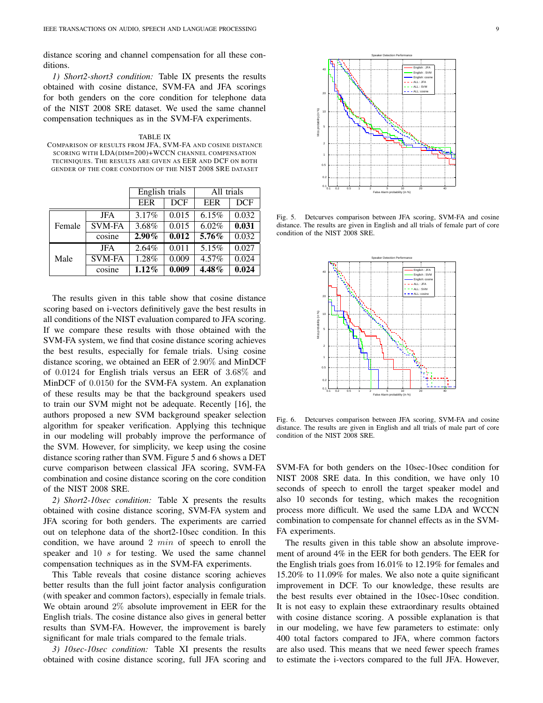distance scoring and channel compensation for all these conditions.

*1) Short2-short3 condition:* Table IX presents the results obtained with cosine distance, SVM-FA and JFA scorings for both genders on the core condition for telephone data of the NIST 2008 SRE dataset. We used the same channel compensation techniques as in the SVM-FA experiments.

TABLE IX COMPARISON OF RESULTS FROM JFA, SVM-FA AND COSINE DISTANCE SCORING WITH LDA(DIM=200)+WCCN CHANNEL COMPENSATION TECHNIQUES. THE RESULTS ARE GIVEN AS EER AND DCF ON BOTH GENDER OF THE CORE CONDITION OF THE NIST 2008 SRE DATASET

|        |               | English trials |            | All trials |       |
|--------|---------------|----------------|------------|------------|-------|
|        |               | <b>EER</b>     | <b>DCF</b> | <b>EER</b> | DCF   |
|        | <b>JFA</b>    | 3.17%          | 0.015      | 6.15%      | 0.032 |
| Female | <b>SVM-FA</b> | 3.68%          | 0.015      | 6.02%      | 0.031 |
|        | cosine        | $2.90\%$       | 0.012      | 5.76%      | 0.032 |
|        | <b>JFA</b>    | 2.64%          | 0.011      | 5.15%      | 0.027 |
| Male   | <b>SVM-FA</b> | 1.28%          | 0.009      | $4.57\%$   | 0.024 |
|        | cosine        | $1.12\%$       | 0.009      | $4.48\%$   | 0.024 |

The results given in this table show that cosine distance scoring based on i-vectors definitively gave the best results in all conditions of the NIST evaluation compared to JFA scoring. If we compare these results with those obtained with the SVM-FA system, we find that cosine distance scoring achieves the best results, especially for female trials. Using cosine distance scoring, we obtained an EER of 2.90% and MinDCF of 0.0124 for English trials versus an EER of 3.68% and MinDCF of 0.0150 for the SVM-FA system. An explanation of these results may be that the background speakers used to train our SVM might not be adequate. Recently [16], the authors proposed a new SVM background speaker selection algorithm for speaker verification. Applying this technique in our modeling will probably improve the performance of the SVM. However, for simplicity, we keep using the cosine distance scoring rather than SVM. Figure 5 and 6 shows a DET curve comparison between classical JFA scoring, SVM-FA combination and cosine distance scoring on the core condition of the NIST 2008 SRE. **English minks [2001 Total JFA scoring and the score of the score of the score of the score of the score of the score of the score of the score of the score of the score of the score of the score of the score of the score** 

*2) Short2-10sec condition:* Table X presents the results obtained with cosine distance scoring, SVM-FA system and JFA scoring for both genders. The experiments are carried out on telephone data of the short2-10sec condition. In this condition, we have around 2 min of speech to enroll the speaker and 10 s for testing. We used the same channel compensation techniques as in the SVM-FA experiments.

This Table reveals that cosine distance scoring achieves better results than the full joint factor analysis configuration (with speaker and common factors), especially in female trials. We obtain around 2\% absolute improvement in EER for the English trials. The cosine distance also gives in general better results than SVM-FA. However, the improvement is barely significant for male trials compared to the female trials.

*3) 10sec-10sec condition:* Table XI presents the results



Fig. 5. Detcurves comparison between JFA scoring, SVM-FA and cosine distance. The results are given in English and all trials of female part of core condition of the NIST 2008 SRE.



Fig. 6. Detcurves comparison between JFA scoring, SVM-FA and cosine distance. The results are given in English and all trials of male part of core condition of the NIST 2008 SRE.

SVM-FA for both genders on the 10sec-10sec condition for NIST 2008 SRE data. In this condition, we have only 10 seconds of speech to enroll the target speaker model and also 10 seconds for testing, which makes the recognition process more difficult. We used the same LDA and WCCN combination to compensate for channel effects as in the SVM-FA experiments.

The results given in this table show an absolute improvement of around 4% in the EER for both genders. The EER for the English trials goes from 16.01% to 12.19% for females and 15.20% to 11.09% for males. We also note a quite significant improvement in DCF. To our knowledge, these results are the best results ever obtained in the 10sec-10sec condition. It is not easy to explain these extraordinary results obtained with cosine distance scoring. A possible explanation is that in our modeling, we have few parameters to estimate: only 400 total factors compared to JFA, where common factors are also used. This means that we need fewer speech frames to estimate the i-vectors compared to the full JFA. However,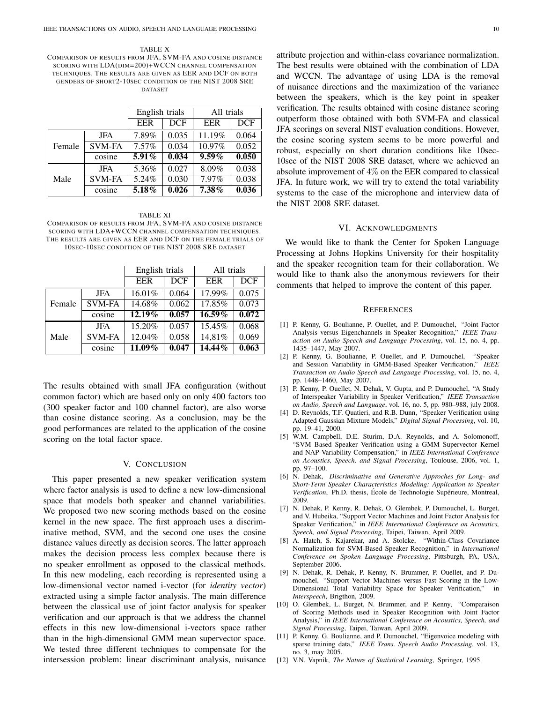TABLE X COMPARISON OF RESULTS FROM JFA, SVM-FA AND COSINE DISTANCE SCORING WITH LDA(DIM=200)+WCCN CHANNEL COMPENSATION TECHNIQUES. THE RESULTS ARE GIVEN AS EER AND DCF ON BOTH GENDERS OF SHORT2-10SEC CONDITION OF THE NIST 2008 SRE DATASET

|        |               | English trials |            | All trials |            |
|--------|---------------|----------------|------------|------------|------------|
|        |               | <b>EER</b>     | <b>DCF</b> | <b>EER</b> | <b>DCF</b> |
|        | <b>JFA</b>    | 7.89%          | 0.035      | 11.19%     | 0.064      |
| Female | <b>SVM-FA</b> | $7.57\%$       | 0.034      | 10.97%     | 0.052      |
|        | cosine        | $5.91\%$       | 0.034      | $9.59\%$   | 0.050      |
|        | <b>JFA</b>    | 5.36%          | 0.027      | $8.09\%$   | 0.038      |
| Male   | <b>SVM-FA</b> | 5.24%          | 0.030      | 7.97%      | 0.038      |
|        | cosine        | $5.18\%$       | 0.026      | $7.38\%$   | 0.036      |

#### TABLE XI

COMPARISON OF RESULTS FROM JFA, SVM-FA AND COSINE DISTANCE SCORING WITH LDA+WCCN CHANNEL COMPENSATION TECHNIQUES. THE RESULTS ARE GIVEN AS EER AND DCF ON THE FEMALE TRIALS OF 10SEC-10SEC CONDITION OF THE NIST 2008 SRE DATASET

|        |               | English trials |       | All trials |       |
|--------|---------------|----------------|-------|------------|-------|
|        |               | <b>EER</b>     | DCF   | <b>EER</b> | DCF   |
|        | <b>JFA</b>    | $16.01\%$      | 0.064 | 17.99%     | 0.075 |
| Female | <b>SVM-FA</b> | 14.68%         | 0.062 | 17.85%     | 0.073 |
|        | cosine        | $12.19\%$      | 0.057 | $16.59\%$  | 0.072 |
|        | <b>JFA</b>    | 15.20%         | 0.057 | 15.45%     | 0.068 |
| Male   | <b>SVM-FA</b> | 12.04%         | 0.058 | 14,81%     | 0.069 |
|        | cosine        | 11.09%         | 0.047 | 14.44%     | 0.063 |

The results obtained with small JFA configuration (without common factor) which are based only on only 400 factors too (300 speaker factor and 100 channel factor), are also worse than cosine distance scoring. As a conclusion, may be the good performances are related to the application of the cosine scoring on the total factor space.

# V. CONCLUSION

This paper presented a new speaker verification system where factor analysis is used to define a new low-dimensional space that models both speaker and channel variabilities. We proposed two new scoring methods based on the cosine kernel in the new space. The first approach uses a discriminative method, SVM, and the second one uses the cosine distance values directly as decision scores. The latter approach makes the decision process less complex because there is no speaker enrollment as opposed to the classical methods. In this new modeling, each recording is represented using a low-dimensional vector named i-vector (for *identity vector*) extracted using a simple factor analysis. The main difference between the classical use of joint factor analysis for speaker verification and our approach is that we address the channel effects in this new low-dimensional i-vectors space rather than in the high-dimensional GMM mean supervector space. We tested three different techniques to compensate for the intersession problem: linear discriminant analysis, nuisance attribute projection and within-class covariance normalization. The best results were obtained with the combination of LDA and WCCN. The advantage of using LDA is the removal of nuisance directions and the maximization of the variance between the speakers, which is the key point in speaker verification. The results obtained with cosine distance scoring outperform those obtained with both SVM-FA and classical JFA scorings on several NIST evaluation conditions. However, the cosine scoring system seems to be more powerful and robust, especially on short duration conditions like 10sec-10sec of the NIST 2008 SRE dataset, where we achieved an absolute improvement of 4% on the EER compared to classical JFA. In future work, we will try to extend the total variability systems to the case of the microphone and interview data of the NIST 2008 SRE dataset.

## VI. ACKNOWLEDGMENTS

We would like to thank the Center for Spoken Language Processing at Johns Hopkins University for their hospitality and the speaker recognition team for their collaboration. We would like to thank also the anonymous reviewers for their comments that helped to improve the content of this paper.

#### **REFERENCES**

- [1] P. Kenny, G. Boulianne, P. Ouellet, and P. Dumouchel, "Joint Factor Analysis versus Eigenchannels in Speaker Recognition," *IEEE Transaction on Audio Speech and Language Processing*, vol. 15, no. 4, pp. 1435–1447, May 2007.
- [2] P. Kenny, G. Boulianne, P. Ouellet, and P. Dumouchel, "Speaker and Session Variability in GMM-Based Speaker Verification," *IEEE Transaction on Audio Speech and Language Processing*, vol. 15, no. 4, pp. 1448–1460, May 2007.
- [3] P. Kenny, P. Ouellet, N. Dehak, V. Gupta, and P. Dumouchel, "A Study of Interspeaker Variability in Speaker Verification," *IEEE Transaction on Audio, Speech and Language*, vol. 16, no. 5, pp. 980–988, july 2008.
- [4] D. Reynolds, T.F. Quatieri, and R.B. Dunn, "Speaker Verification using Adapted Gaussian Mixture Models," *Digital Signal Processing*, vol. 10, pp. 19–41, 2000.
- [5] W.M. Campbell, D.E. Sturim, D.A. Reynolds, and A. Solomonoff, "SVM Based Speaker Verification using a GMM Supervector Kernel and NAP Variability Compensation," in *IEEE International Conference on Acoustics, Speech, and Signal Processing*, Toulouse, 2006, vol. 1, pp. 97–100.
- [6] N. Dehak, *Discriminative and Generative Approches for Long- and Short-Term Speaker Characteristics Modeling: Application to Speaker Verification*, Ph.D. thesis, École de Technologie Supérieure, Montreal, 2009.
- [7] N. Dehak, P. Kenny, R. Dehak, O. Glembek, P. Dumouchel, L. Burget, and V. Hubeika, "Support Vector Machines and Joint Factor Analysis for Speaker Verification," in *IEEE International Conference on Acoustics, Speech, and Signal Processing*, Taipei, Taiwan, April 2009.
- [8] A. Hatch, S. Kajarekar, and A. Stolcke, "Within-Class Covariance Normalization for SVM-Based Speaker Recognition," in *International Conference on Spoken Language Processing*, Pittsburgh, PA, USA, September 2006.
- [9] N. Dehak, R. Dehak, P. Kenny, N. Brummer, P. Ouellet, and P. Dumouchel, "Support Vector Machines versus Fast Scoring in the Low-Dimensional Total Variability Space for Speaker Verification," in *Interspeech*, Brigthon, 2009.
- [10] O. Glembek, L. Burget, N. Brummer, and P. Kenny, "Comparaison of Scoring Methods used in Speaker Recognition with Joint Factor Analysis," in *IEEE International Conference on Acoustics, Speech, and Signal Processing*, Taipei, Taiwan, April 2009.
- [11] P. Kenny, G. Boulianne, and P. Dumouchel, "Eigenvoice modeling with sparse training data," *IEEE Trans. Speech Audio Processing*, vol. 13, no. 3, may 2005.
- [12] V.N. Vapnik, *The Nature of Statistical Learning*, Springer, 1995.